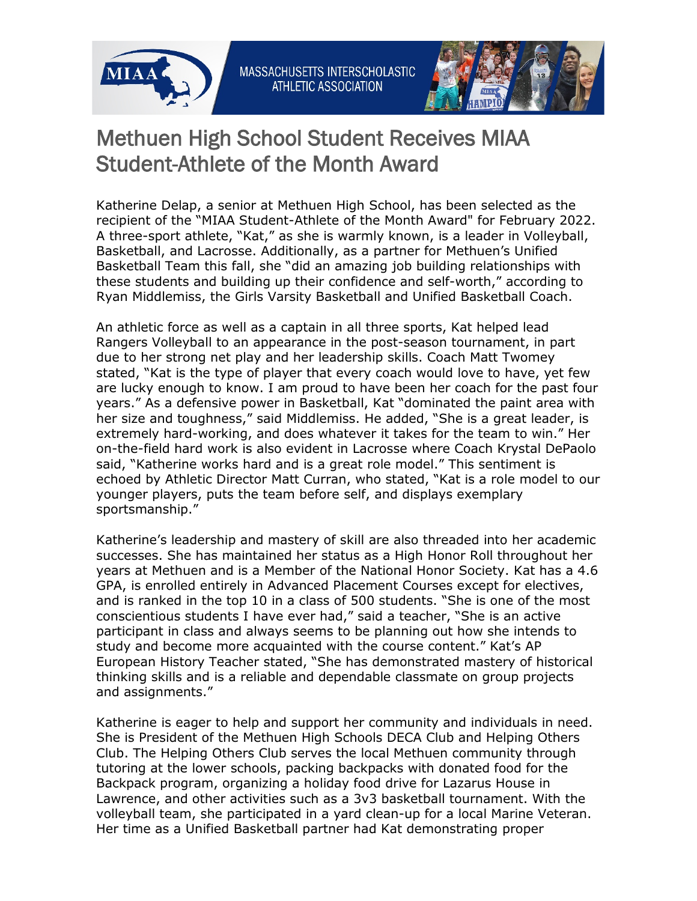



## Methuen High School Student Receives MIAA Student-Athlete of the Month Award

Katherine Delap, a senior at Methuen High School, has been selected as the recipient of the "MIAA Student-Athlete of the Month Award" for February 2022. A three-sport athlete, "Kat," as she is warmly known, is a leader in Volleyball, Basketball, and Lacrosse. Additionally, as a partner for Methuen's Unified Basketball Team this fall, she "did an amazing job building relationships with these students and building up their confidence and self-worth," according to Ryan Middlemiss, the Girls Varsity Basketball and Unified Basketball Coach.

An athletic force as well as a captain in all three sports, Kat helped lead Rangers Volleyball to an appearance in the post-season tournament, in part due to her strong net play and her leadership skills. Coach Matt Twomey stated, "Kat is the type of player that every coach would love to have, yet few are lucky enough to know. I am proud to have been her coach for the past four years." As a defensive power in Basketball, Kat "dominated the paint area with her size and toughness," said Middlemiss. He added, "She is a great leader, is extremely hard-working, and does whatever it takes for the team to win." Her on-the-field hard work is also evident in Lacrosse where Coach Krystal DePaolo said, "Katherine works hard and is a great role model." This sentiment is echoed by Athletic Director Matt Curran, who stated, "Kat is a role model to our younger players, puts the team before self, and displays exemplary sportsmanship."

Katherine's leadership and mastery of skill are also threaded into her academic successes. She has maintained her status as a High Honor Roll throughout her years at Methuen and is a Member of the National Honor Society. Kat has a 4.6 GPA, is enrolled entirely in Advanced Placement Courses except for electives, and is ranked in the top 10 in a class of 500 students. "She is one of the most conscientious students I have ever had," said a teacher, "She is an active participant in class and always seems to be planning out how she intends to study and become more acquainted with the course content." Kat's AP European History Teacher stated, "She has demonstrated mastery of historical thinking skills and is a reliable and dependable classmate on group projects and assignments."

Katherine is eager to help and support her community and individuals in need. She is President of the Methuen High Schools DECA Club and Helping Others Club. The Helping Others Club serves the local Methuen community through tutoring at the lower schools, packing backpacks with donated food for the Backpack program, organizing a holiday food drive for Lazarus House in Lawrence, and other activities such as a 3v3 basketball tournament. With the volleyball team, she participated in a yard clean-up for a local Marine Veteran. Her time as a Unified Basketball partner had Kat demonstrating proper